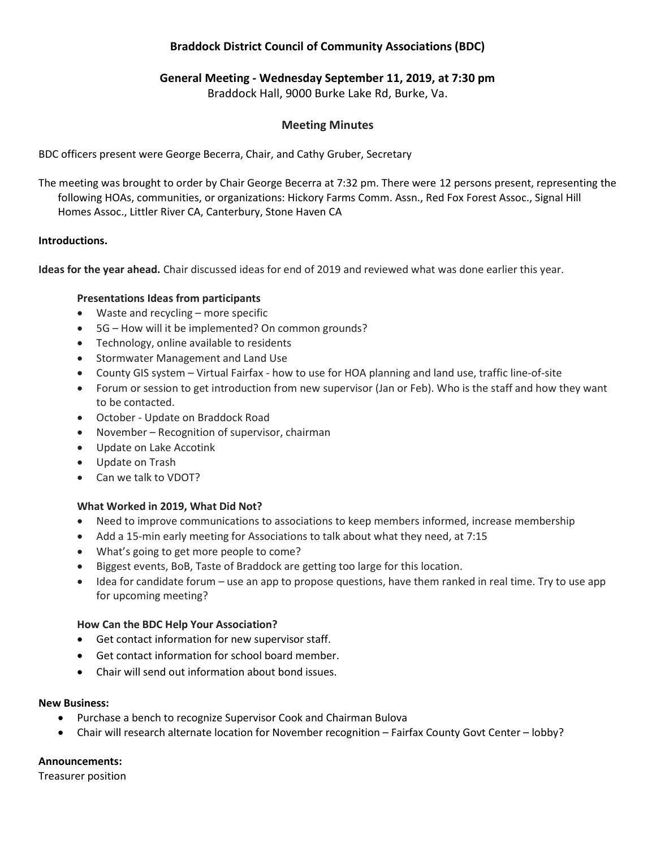# Braddock District Council of Community Associations (BDC)

## General Meeting - Wednesday September 11, 2019, at 7:30 pm

Braddock Hall, 9000 Burke Lake Rd, Burke, Va.

## Meeting Minutes

BDC officers present were George Becerra, Chair, and Cathy Gruber, Secretary

The meeting was brought to order by Chair George Becerra at 7:32 pm. There were 12 persons present, representing the following HOAs, communities, or organizations: Hickory Farms Comm. Assn., Red Fox Forest Assoc., Signal Hill Homes Assoc., Littler River CA, Canterbury, Stone Haven CA

## Introductions.

Ideas for the year ahead. Chair discussed ideas for end of 2019 and reviewed what was done earlier this year.

## Presentations Ideas from participants

- Waste and recycling more specific
- 5G How will it be implemented? On common grounds?
- Technology, online available to residents
- Stormwater Management and Land Use
- County GIS system Virtual Fairfax how to use for HOA planning and land use, traffic line-of-site
- Forum or session to get introduction from new supervisor (Jan or Feb). Who is the staff and how they want to be contacted.
- October Update on Braddock Road
- November Recognition of supervisor, chairman
- Update on Lake Accotink
- Update on Trash
- Can we talk to VDOT?

## What Worked in 2019, What Did Not?

- Need to improve communications to associations to keep members informed, increase membership
- Add a 15-min early meeting for Associations to talk about what they need, at 7:15
- What's going to get more people to come?
- Biggest events, BoB, Taste of Braddock are getting too large for this location.
- Idea for candidate forum use an app to propose questions, have them ranked in real time. Try to use app for upcoming meeting?

## How Can the BDC Help Your Association?

- Get contact information for new supervisor staff.
- Get contact information for school board member.
- Chair will send out information about bond issues.

## New Business:

- Purchase a bench to recognize Supervisor Cook and Chairman Bulova
- Chair will research alternate location for November recognition Fairfax County Govt Center lobby?

## Announcements:

Treasurer position